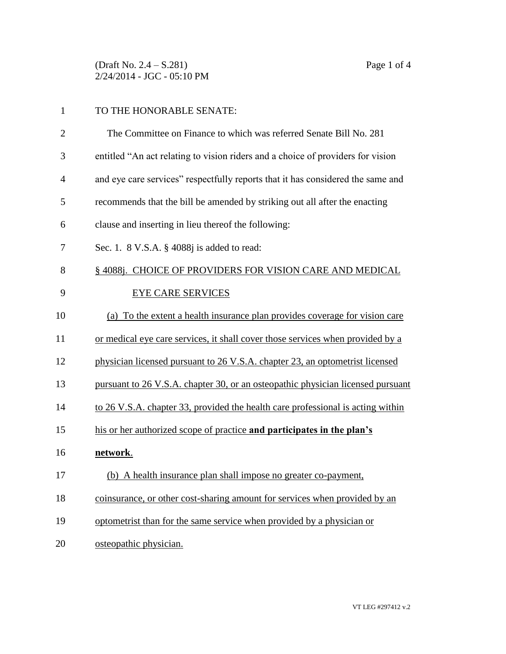(Draft No. 2.4 – S.281) Page 1 of 4 2/24/2014 - JGC - 05:10 PM

## 1 TO THE HONORABLE SENATE:

| $\overline{2}$ | The Committee on Finance to which was referred Senate Bill No. 281              |
|----------------|---------------------------------------------------------------------------------|
| 3              | entitled "An act relating to vision riders and a choice of providers for vision |
| $\overline{4}$ | and eye care services" respectfully reports that it has considered the same and |
| 5              | recommends that the bill be amended by striking out all after the enacting      |
| 6              | clause and inserting in lieu thereof the following:                             |
| 7              | Sec. 1. 8 V.S.A. § 4088j is added to read:                                      |
| 8              | § 4088j. CHOICE OF PROVIDERS FOR VISION CARE AND MEDICAL                        |
| 9              | <b>EYE CARE SERVICES</b>                                                        |
| 10             | (a) To the extent a health insurance plan provides coverage for vision care     |
| 11             | or medical eye care services, it shall cover those services when provided by a  |
| 12             | physician licensed pursuant to 26 V.S.A. chapter 23, an optometrist licensed    |
| 13             | pursuant to 26 V.S.A. chapter 30, or an osteopathic physician licensed pursuant |
| 14             | to 26 V.S.A. chapter 33, provided the health care professional is acting within |
| 15             | his or her authorized scope of practice and participates in the plan's          |
| 16             | network.                                                                        |
| 17             | (b) A health insurance plan shall impose no greater co-payment,                 |
| 18             | coinsurance, or other cost-sharing amount for services when provided by an      |
| 19             | optometrist than for the same service when provided by a physician or           |
| 20             | osteopathic physician.                                                          |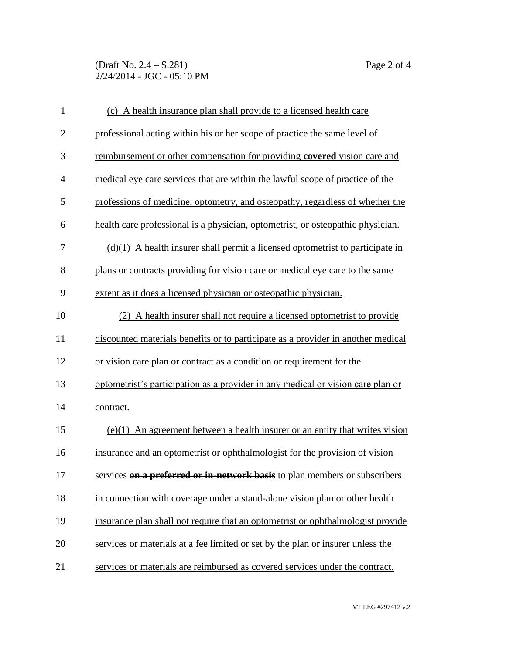(Draft No. 2.4 – S.281) Page 2 of 4 2/24/2014 - JGC - 05:10 PM

| $\mathbf{1}$   | (c) A health insurance plan shall provide to a licensed health care              |
|----------------|----------------------------------------------------------------------------------|
| $\overline{2}$ | professional acting within his or her scope of practice the same level of        |
| 3              | reimbursement or other compensation for providing covered vision care and        |
| $\overline{4}$ | medical eye care services that are within the lawful scope of practice of the    |
| 5              | professions of medicine, optometry, and osteopathy, regardless of whether the    |
| 6              | health care professional is a physician, optometrist, or osteopathic physician.  |
| 7              | $(d)(1)$ A health insurer shall permit a licensed optometrist to participate in  |
| 8              | plans or contracts providing for vision care or medical eye care to the same     |
| 9              | extent as it does a licensed physician or osteopathic physician.                 |
| 10             | (2) A health insurer shall not require a licensed optometrist to provide         |
| 11             | discounted materials benefits or to participate as a provider in another medical |
| 12             | or vision care plan or contract as a condition or requirement for the            |
| 13             | optometrist's participation as a provider in any medical or vision care plan or  |
| 14             | contract.                                                                        |
| 15             | $(e)(1)$ An agreement between a health insurer or an entity that writes vision   |
| 16             | insurance and an optometrist or ophthalmologist for the provision of vision      |
| 17             | services on a preferred or in-network basis to plan members or subscribers       |
| 18             | in connection with coverage under a stand-alone vision plan or other health      |
| 19             | insurance plan shall not require that an optometrist or ophthalmologist provide  |
| 20             | services or materials at a fee limited or set by the plan or insurer unless the  |
| 21             | services or materials are reimbursed as covered services under the contract.     |

VT LEG #297412 v.2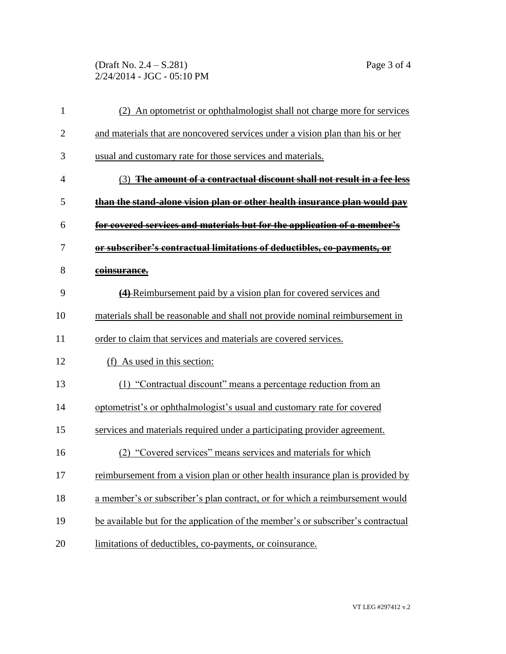(Draft No. 2.4 – S.281) Page 3 of 4 2/24/2014 - JGC - 05:10 PM

| $\mathbf{1}$   | (2) An optometrist or ophthalmologist shall not charge more for services         |
|----------------|----------------------------------------------------------------------------------|
| $\overline{2}$ | and materials that are noncovered services under a vision plan than his or her   |
| 3              | usual and customary rate for those services and materials.                       |
| $\overline{4}$ | (3) The amount of a contractual discount shall not result in a fee less          |
| 5              | than the stand-alone vision plan or other health insurance plan would pay        |
| 6              | for covered services and materials but for the application of a member's         |
| 7              | or subscriber's contractual limitations of deductibles, co-payments, or          |
| 8              | coinsurance.                                                                     |
| 9              | (4) Reimbursement paid by a vision plan for covered services and                 |
| 10             | materials shall be reasonable and shall not provide nominal reimbursement in     |
| 11             | order to claim that services and materials are covered services.                 |
| 12             | (f) As used in this section:                                                     |
| 13             | (1) "Contractual discount" means a percentage reduction from an                  |
| 14             | optometrist's or ophthalmologist's usual and customary rate for covered          |
| 15             | services and materials required under a participating provider agreement.        |
| 16             | (2) "Covered services" means services and materials for which                    |
| 17             | reimbursement from a vision plan or other health insurance plan is provided by   |
| 18             | a member's or subscriber's plan contract, or for which a reimbursement would     |
| 19             | be available but for the application of the member's or subscriber's contractual |
| 20             | limitations of deductibles, co-payments, or coinsurance.                         |